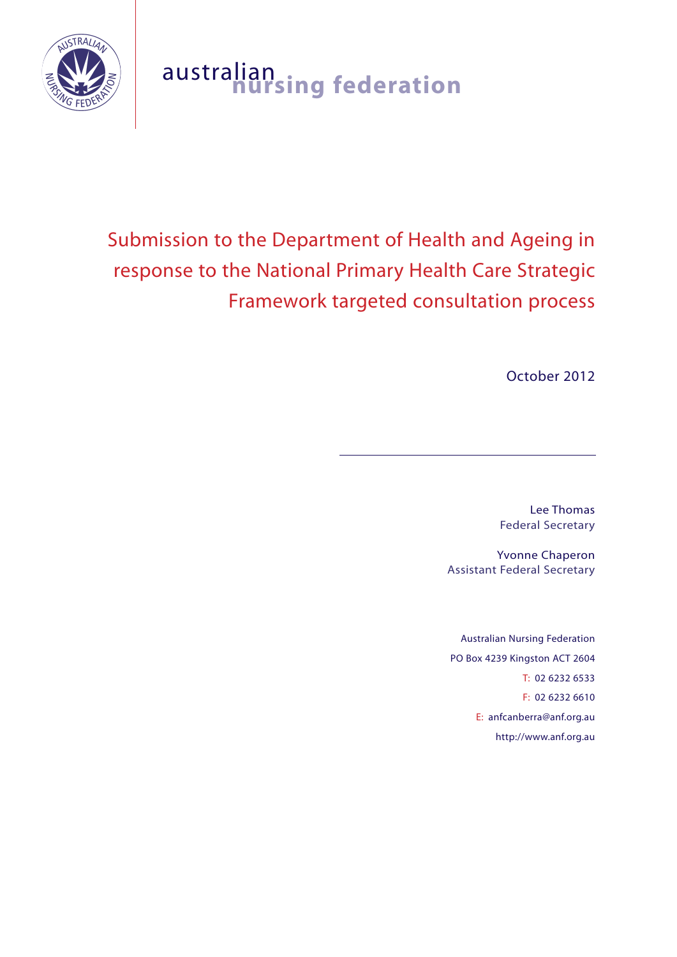

# australian **nursing federation**

# Submission to the Department of Health and Ageing in response to the National Primary Health Care Strategic Framework targeted consultation process

October 2012

Lee Thomas Federal Secretary

Yvonne Chaperon Assistant Federal Secretary

Australian Nursing Federation PO Box 4239 Kingston ACT 2604 T: 02 6232 6533 F: 02 6232 6610 E: anfcanberra@anf.org.au http://www.anf.org.au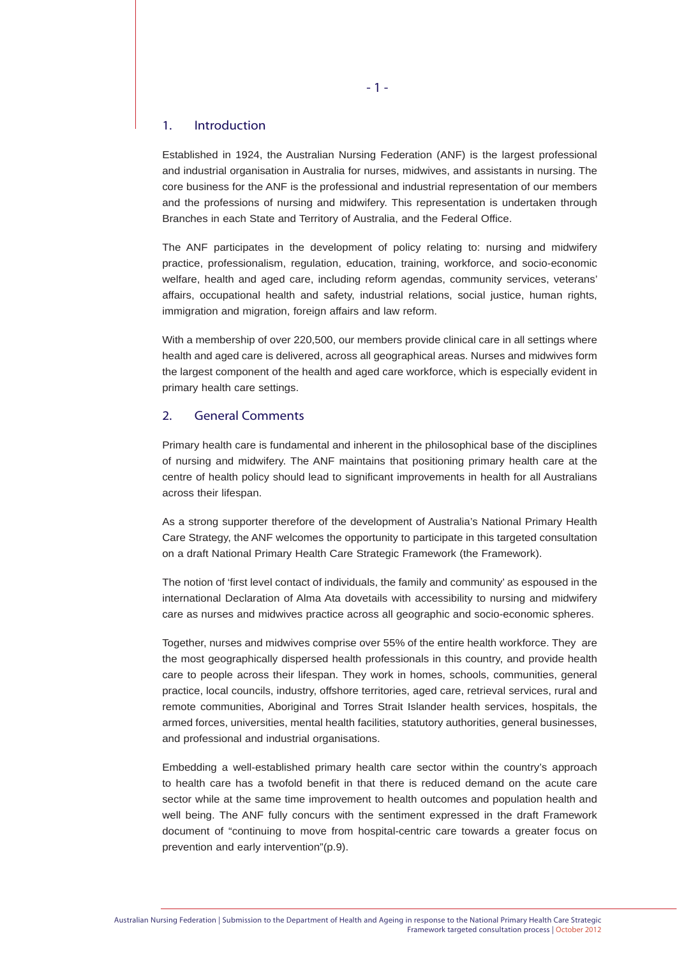#### 1. Introduction

Established in 1924, the Australian Nursing Federation (ANF) is the largest professional and industrial organisation in Australia for nurses, midwives, and assistants in nursing. The core business for the ANF is the professional and industrial representation of our members and the professions of nursing and midwifery. This representation is undertaken through Branches in each State and Territory of Australia, and the Federal Office.

The ANF participates in the development of policy relating to: nursing and midwifery practice, professionalism, regulation, education, training, workforce, and socio-economic welfare, health and aged care, including reform agendas, community services, veterans' affairs, occupational health and safety, industrial relations, social justice, human rights, immigration and migration, foreign affairs and law reform.

With a membership of over 220,500, our members provide clinical care in all settings where health and aged care is delivered, across all geographical areas. Nurses and midwives form the largest component of the health and aged care workforce, which is especially evident in primary health care settings.

# 2. General Comments

Primary health care is fundamental and inherent in the philosophical base of the disciplines of nursing and midwifery. The ANF maintains that positioning primary health care at the centre of health policy should lead to significant improvements in health for all Australians across their lifespan.

As a strong supporter therefore of the development of Australia's National Primary Health Care Strategy, the ANF welcomes the opportunity to participate in this targeted consultation on a draft National Primary Health Care Strategic Framework (the Framework).

The notion of 'first level contact of individuals, the family and community' as espoused in the international Declaration of Alma Ata dovetails with accessibility to nursing and midwifery care as nurses and midwives practice across all geographic and socio-economic spheres.

Together, nurses and midwives comprise over 55% of the entire health workforce. They are the most geographically dispersed health professionals in this country, and provide health care to people across their lifespan. They work in homes, schools, communities, general practice, local councils, industry, offshore territories, aged care, retrieval services, rural and remote communities, Aboriginal and Torres Strait Islander health services, hospitals, the armed forces, universities, mental health facilities, statutory authorities, general businesses, and professional and industrial organisations.

Embedding a well-established primary health care sector within the country's approach to health care has a twofold benefit in that there is reduced demand on the acute care sector while at the same time improvement to health outcomes and population health and well being. The ANF fully concurs with the sentiment expressed in the draft Framework document of "continuing to move from hospital-centric care towards a greater focus on prevention and early intervention"(p.9).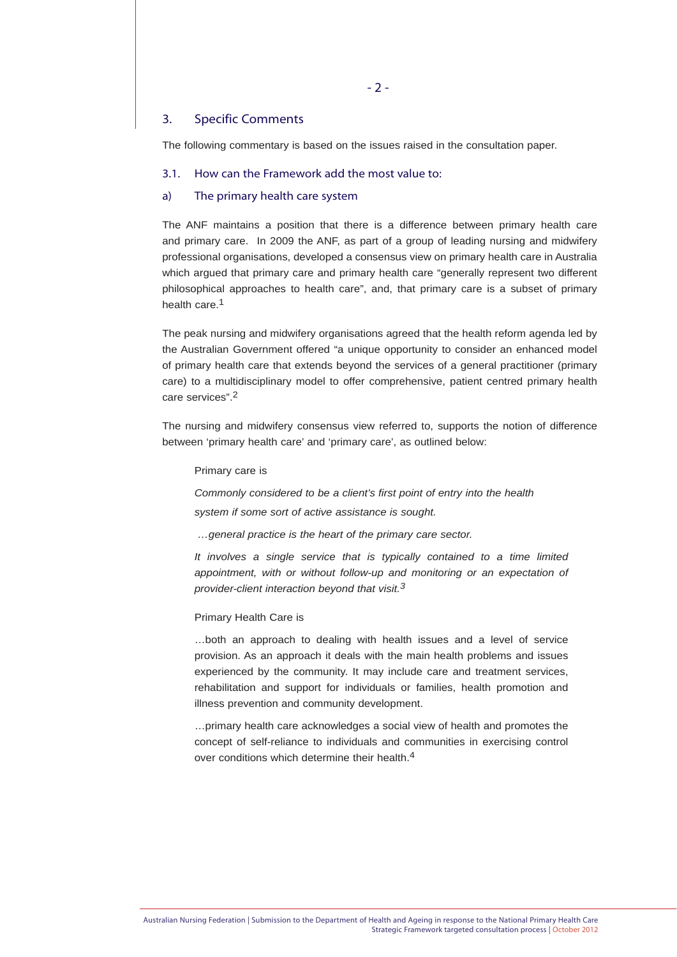# 3. Specific Comments

The following commentary is based on the issues raised in the consultation paper.

#### 3.1. How can the Framework add the most value to:

# a) The primary health care system

The ANF maintains a position that there is a difference between primary health care and primary care. In 2009 the ANF, as part of a group of leading nursing and midwifery professional organisations, developed a consensus view on primary health care in Australia which argued that primary care and primary health care "generally represent two different philosophical approaches to health care", and, that primary care is a subset of primary health care.<sup>1</sup>

The peak nursing and midwifery organisations agreed that the health reform agenda led by the Australian Government offered "a unique opportunity to consider an enhanced model of primary health care that extends beyond the services of a general practitioner (primary care) to a multidisciplinary model to offer comprehensive, patient centred primary health care services".2

The nursing and midwifery consensus view referred to, supports the notion of difference between 'primary health care' and 'primary care', as outlined below:

#### Primary care is

*Commonly considered to be a client's first point of entry into the health system if some sort of active assistance is sought.* 

 *…general practice is the heart of the primary care sector.* 

*It involves a single service that is typically contained to a time limited*  appointment, with or without follow-up and monitoring or an expectation of *provider-client interaction beyond that visit.3*

#### Primary Health Care is

…both an approach to dealing with health issues and a level of service provision. As an approach it deals with the main health problems and issues experienced by the community. It may include care and treatment services, rehabilitation and support for individuals or families, health promotion and illness prevention and community development.

…primary health care acknowledges a social view of health and promotes the concept of self-reliance to individuals and communities in exercising control over conditions which determine their health.4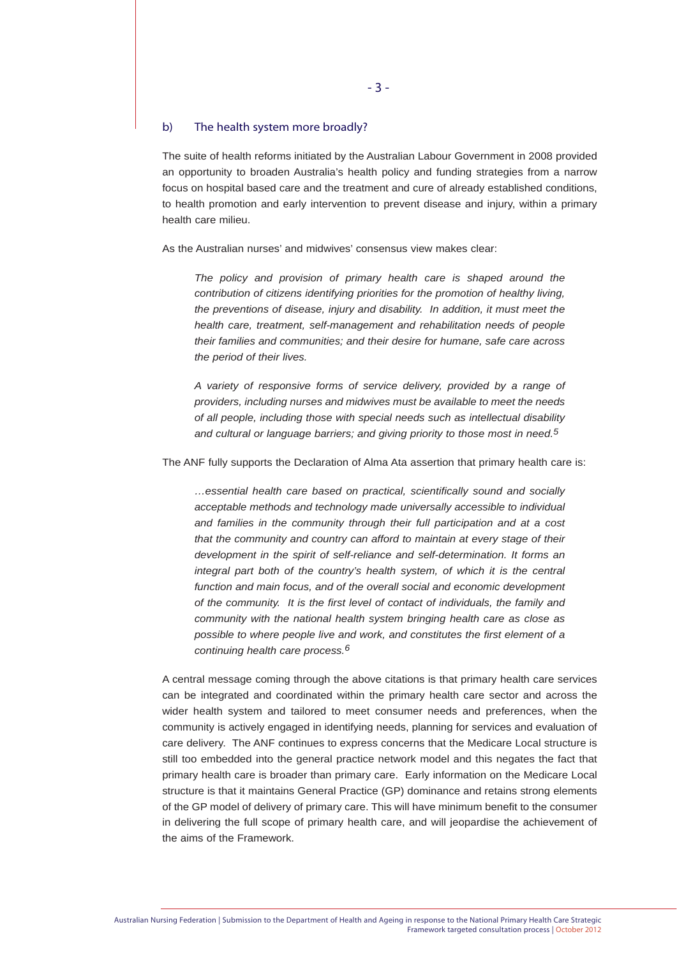#### b) The health system more broadly?

The suite of health reforms initiated by the Australian Labour Government in 2008 provided an opportunity to broaden Australia's health policy and funding strategies from a narrow focus on hospital based care and the treatment and cure of already established conditions, to health promotion and early intervention to prevent disease and injury, within a primary health care milieu.

As the Australian nurses' and midwives' consensus view makes clear:

*The policy and provision of primary health care is shaped around the contribution of citizens identifying priorities for the promotion of healthy living, the preventions of disease, injury and disability. In addition, it must meet the health care, treatment, self-management and rehabilitation needs of people their families and communities; and their desire for humane, safe care across the period of their lives.*

*A variety of responsive forms of service delivery, provided by a range of providers, including nurses and midwives must be available to meet the needs of all people, including those with special needs such as intellectual disability and cultural or language barriers; and giving priority to those most in need.5* 

The ANF fully supports the Declaration of Alma Ata assertion that primary health care is:

*…essential health care based on practical, scientifically sound and socially acceptable methods and technology made universally accessible to individual and families in the community through their full participation and at a cost that the community and country can afford to maintain at every stage of their development in the spirit of self-reliance and self-determination. It forms an integral part both of the country's health system, of which it is the central function and main focus, and of the overall social and economic development of the community. It is the first level of contact of individuals, the family and community with the national health system bringing health care as close as possible to where people live and work, and constitutes the first element of a continuing health care process.6*

A central message coming through the above citations is that primary health care services can be integrated and coordinated within the primary health care sector and across the wider health system and tailored to meet consumer needs and preferences, when the community is actively engaged in identifying needs, planning for services and evaluation of care delivery. The ANF continues to express concerns that the Medicare Local structure is still too embedded into the general practice network model and this negates the fact that primary health care is broader than primary care. Early information on the Medicare Local structure is that it maintains General Practice (GP) dominance and retains strong elements of the GP model of delivery of primary care. This will have minimum benefit to the consumer in delivering the full scope of primary health care, and will jeopardise the achievement of the aims of the Framework.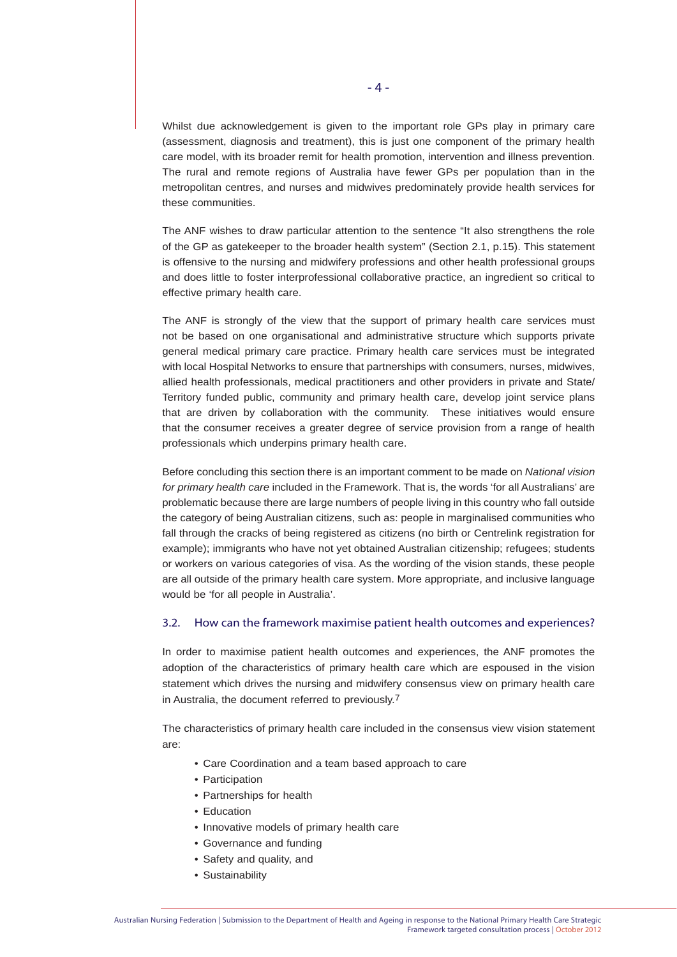Whilst due acknowledgement is given to the important role GPs play in primary care (assessment, diagnosis and treatment), this is just one component of the primary health care model, with its broader remit for health promotion, intervention and illness prevention. The rural and remote regions of Australia have fewer GPs per population than in the metropolitan centres, and nurses and midwives predominately provide health services for these communities.

The ANF wishes to draw particular attention to the sentence "It also strengthens the role of the GP as gatekeeper to the broader health system" (Section 2.1, p.15). This statement is offensive to the nursing and midwifery professions and other health professional groups and does little to foster interprofessional collaborative practice, an ingredient so critical to effective primary health care.

The ANF is strongly of the view that the support of primary health care services must not be based on one organisational and administrative structure which supports private general medical primary care practice. Primary health care services must be integrated with local Hospital Networks to ensure that partnerships with consumers, nurses, midwives, allied health professionals, medical practitioners and other providers in private and State/ Territory funded public, community and primary health care, develop joint service plans that are driven by collaboration with the community. These initiatives would ensure that the consumer receives a greater degree of service provision from a range of health professionals which underpins primary health care.

Before concluding this section there is an important comment to be made on *National vision for primary health care* included in the Framework. That is, the words 'for all Australians' are problematic because there are large numbers of people living in this country who fall outside the category of being Australian citizens, such as: people in marginalised communities who fall through the cracks of being registered as citizens (no birth or Centrelink registration for example); immigrants who have not yet obtained Australian citizenship; refugees; students or workers on various categories of visa. As the wording of the vision stands, these people are all outside of the primary health care system. More appropriate, and inclusive language would be 'for all people in Australia'.

#### 3.2. How can the framework maximise patient health outcomes and experiences?

In order to maximise patient health outcomes and experiences, the ANF promotes the adoption of the characteristics of primary health care which are espoused in the vision statement which drives the nursing and midwifery consensus view on primary health care in Australia, the document referred to previously.7

The characteristics of primary health care included in the consensus view vision statement are:

- Care Coordination and a team based approach to care
- Participation
- Partnerships for health
- Education
- Innovative models of primary health care
- Governance and funding
- Safety and quality, and
- Sustainability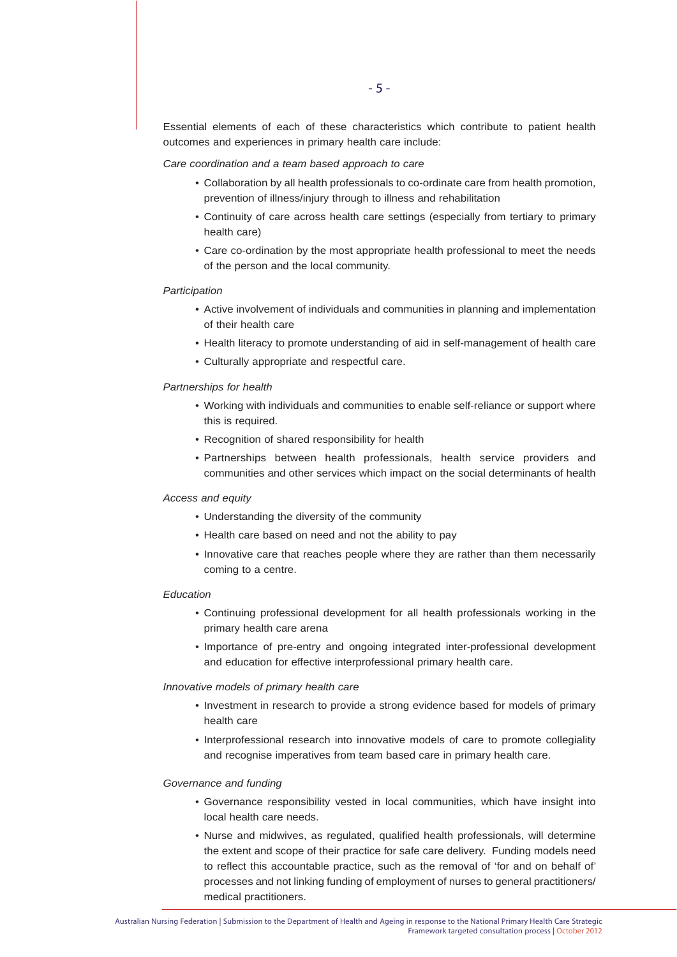Essential elements of each of these characteristics which contribute to patient health outcomes and experiences in primary health care include:

*Care coordination and a team based approach to care*

- Collaboration by all health professionals to co-ordinate care from health promotion, prevention of illness/injury through to illness and rehabilitation
- Continuity of care across health care settings (especially from tertiary to primary health care)
- Care co-ordination by the most appropriate health professional to meet the needs of the person and the local community.

#### *Participation*

- Active involvement of individuals and communities in planning and implementation of their health care
- Health literacy to promote understanding of aid in self-management of health care
- Culturally appropriate and respectful care.

#### *Partnerships for health*

- Working with individuals and communities to enable self-reliance or support where this is required.
- Recognition of shared responsibility for health
- Partnerships between health professionals, health service providers and communities and other services which impact on the social determinants of health

#### *Access and equity*

- Understanding the diversity of the community
- Health care based on need and not the ability to pay
- Innovative care that reaches people where they are rather than them necessarily coming to a centre.

#### *Education*

- Continuing professional development for all health professionals working in the primary health care arena
- Importance of pre-entry and ongoing integrated inter-professional development and education for effective interprofessional primary health care.

#### *Innovative models of primary health care*

- Investment in research to provide a strong evidence based for models of primary health care
- Interprofessional research into innovative models of care to promote collegiality and recognise imperatives from team based care in primary health care.

#### *Governance and funding*

- Governance responsibility vested in local communities, which have insight into local health care needs.
- Nurse and midwives, as regulated, qualified health professionals, will determine the extent and scope of their practice for safe care delivery. Funding models need to reflect this accountable practice, such as the removal of 'for and on behalf of' processes and not linking funding of employment of nurses to general practitioners/ medical practitioners.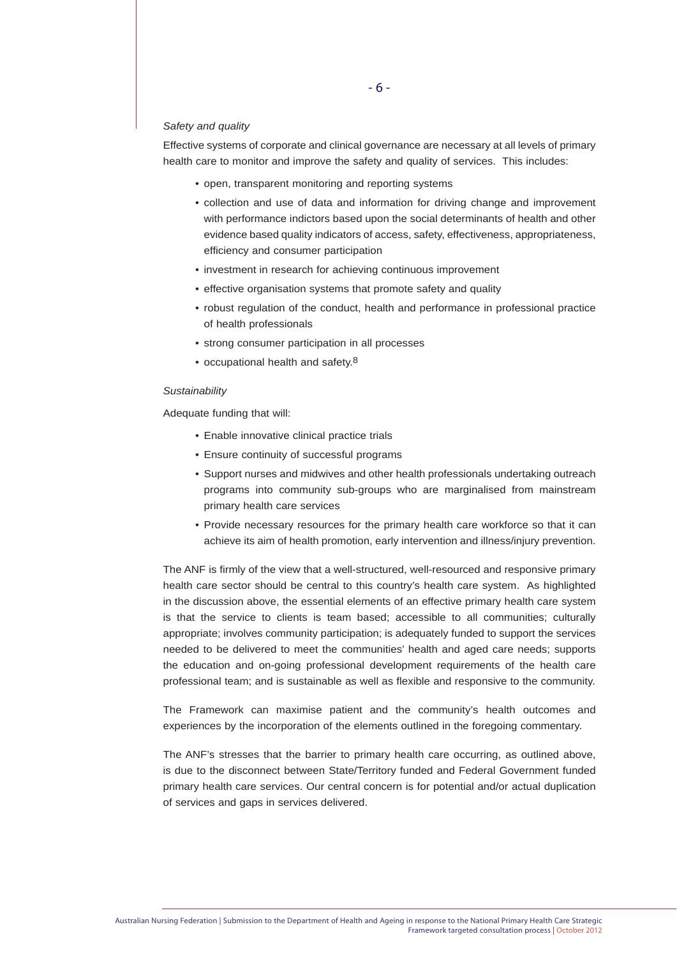#### *Safety and quality*

Effective systems of corporate and clinical governance are necessary at all levels of primary health care to monitor and improve the safety and quality of services. This includes:

- open, transparent monitoring and reporting systems
- collection and use of data and information for driving change and improvement with performance indictors based upon the social determinants of health and other evidence based quality indicators of access, safety, effectiveness, appropriateness, efficiency and consumer participation
- investment in research for achieving continuous improvement
- effective organisation systems that promote safety and quality
- robust regulation of the conduct, health and performance in professional practice of health professionals
- strong consumer participation in all processes
- occupational health and safety.<sup>8</sup>

#### *Sustainability*

Adequate funding that will:

- Enable innovative clinical practice trials
- Ensure continuity of successful programs
- Support nurses and midwives and other health professionals undertaking outreach programs into community sub-groups who are marginalised from mainstream primary health care services
- Provide necessary resources for the primary health care workforce so that it can achieve its aim of health promotion, early intervention and illness/injury prevention.

The ANF is firmly of the view that a well-structured, well-resourced and responsive primary health care sector should be central to this country's health care system. As highlighted in the discussion above, the essential elements of an effective primary health care system is that the service to clients is team based; accessible to all communities; culturally appropriate; involves community participation; is adequately funded to support the services needed to be delivered to meet the communities' health and aged care needs; supports the education and on-going professional development requirements of the health care professional team; and is sustainable as well as flexible and responsive to the community.

The Framework can maximise patient and the community's health outcomes and experiences by the incorporation of the elements outlined in the foregoing commentary.

The ANF's stresses that the barrier to primary health care occurring, as outlined above, is due to the disconnect between State/Territory funded and Federal Government funded primary health care services. Our central concern is for potential and/or actual duplication of services and gaps in services delivered.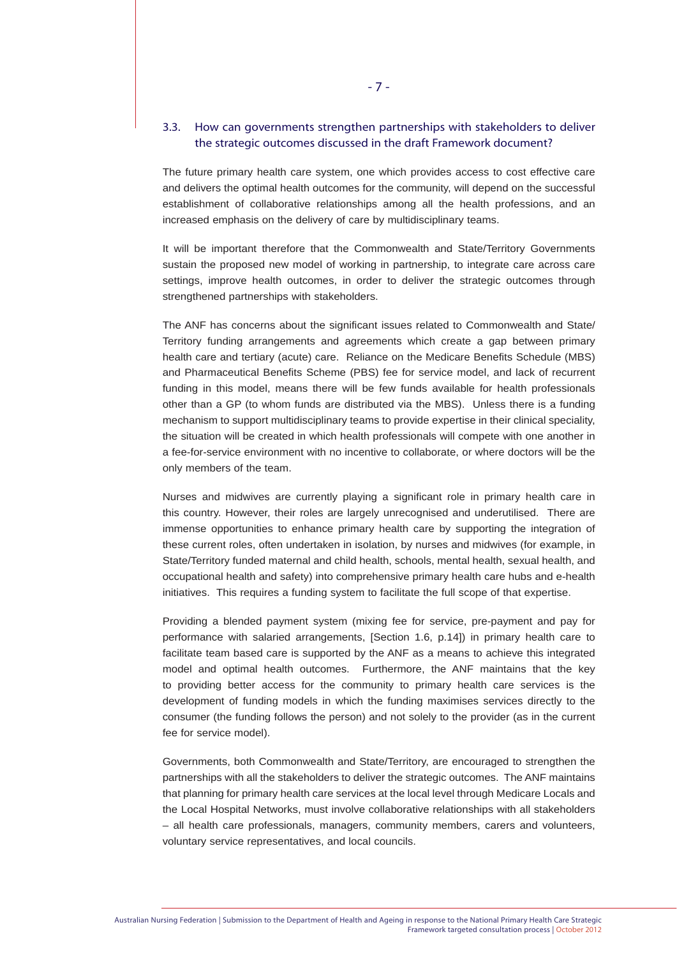# 3.3. How can governments strengthen partnerships with stakeholders to deliver the strategic outcomes discussed in the draft Framework document?

The future primary health care system, one which provides access to cost effective care and delivers the optimal health outcomes for the community, will depend on the successful establishment of collaborative relationships among all the health professions, and an increased emphasis on the delivery of care by multidisciplinary teams.

It will be important therefore that the Commonwealth and State/Territory Governments sustain the proposed new model of working in partnership, to integrate care across care settings, improve health outcomes, in order to deliver the strategic outcomes through strengthened partnerships with stakeholders.

The ANF has concerns about the significant issues related to Commonwealth and State/ Territory funding arrangements and agreements which create a gap between primary health care and tertiary (acute) care. Reliance on the Medicare Benefits Schedule (MBS) and Pharmaceutical Benefits Scheme (PBS) fee for service model, and lack of recurrent funding in this model, means there will be few funds available for health professionals other than a GP (to whom funds are distributed via the MBS). Unless there is a funding mechanism to support multidisciplinary teams to provide expertise in their clinical speciality, the situation will be created in which health professionals will compete with one another in a fee-for-service environment with no incentive to collaborate, or where doctors will be the only members of the team.

Nurses and midwives are currently playing a significant role in primary health care in this country. However, their roles are largely unrecognised and underutilised. There are immense opportunities to enhance primary health care by supporting the integration of these current roles, often undertaken in isolation, by nurses and midwives (for example, in State/Territory funded maternal and child health, schools, mental health, sexual health, and occupational health and safety) into comprehensive primary health care hubs and e-health initiatives. This requires a funding system to facilitate the full scope of that expertise.

Providing a blended payment system (mixing fee for service, pre-payment and pay for performance with salaried arrangements, [Section 1.6, p.14]) in primary health care to facilitate team based care is supported by the ANF as a means to achieve this integrated model and optimal health outcomes. Furthermore, the ANF maintains that the key to providing better access for the community to primary health care services is the development of funding models in which the funding maximises services directly to the consumer (the funding follows the person) and not solely to the provider (as in the current fee for service model).

Governments, both Commonwealth and State/Territory, are encouraged to strengthen the partnerships with all the stakeholders to deliver the strategic outcomes. The ANF maintains that planning for primary health care services at the local level through Medicare Locals and the Local Hospital Networks, must involve collaborative relationships with all stakeholders – all health care professionals, managers, community members, carers and volunteers, voluntary service representatives, and local councils.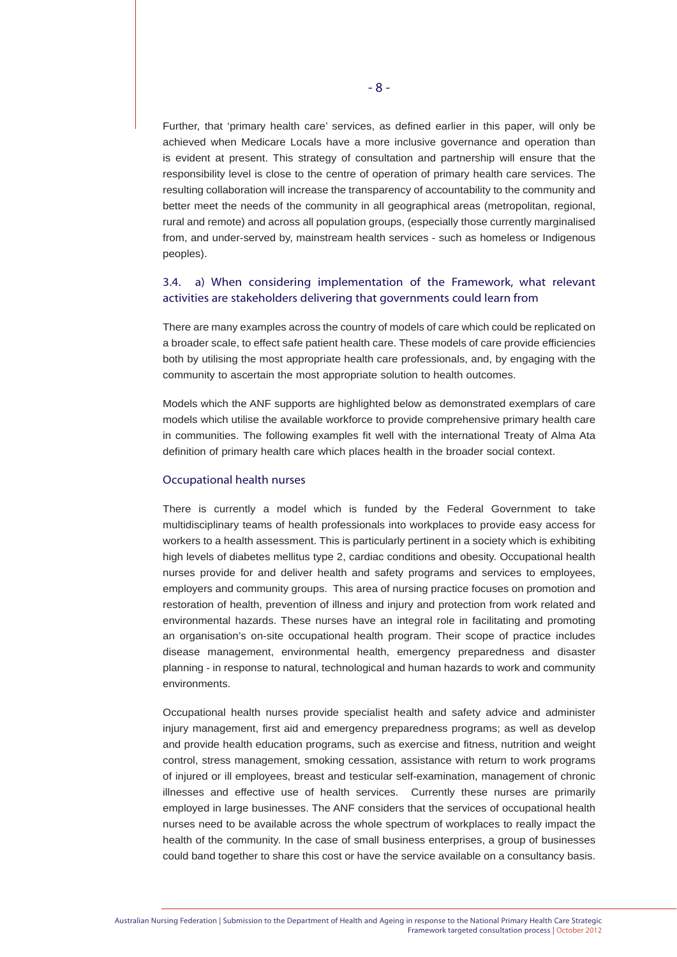Further, that 'primary health care' services, as defined earlier in this paper, will only be achieved when Medicare Locals have a more inclusive governance and operation than is evident at present. This strategy of consultation and partnership will ensure that the responsibility level is close to the centre of operation of primary health care services. The resulting collaboration will increase the transparency of accountability to the community and better meet the needs of the community in all geographical areas (metropolitan, regional, rural and remote) and across all population groups, (especially those currently marginalised from, and under-served by, mainstream health services - such as homeless or Indigenous peoples).

# 3.4. a) When considering implementation of the Framework, what relevant activities are stakeholders delivering that governments could learn from

There are many examples across the country of models of care which could be replicated on a broader scale, to effect safe patient health care. These models of care provide efficiencies both by utilising the most appropriate health care professionals, and, by engaging with the community to ascertain the most appropriate solution to health outcomes.

Models which the ANF supports are highlighted below as demonstrated exemplars of care models which utilise the available workforce to provide comprehensive primary health care in communities. The following examples fit well with the international Treaty of Alma Ata definition of primary health care which places health in the broader social context.

# Occupational health nurses

There is currently a model which is funded by the Federal Government to take multidisciplinary teams of health professionals into workplaces to provide easy access for workers to a health assessment. This is particularly pertinent in a society which is exhibiting high levels of diabetes mellitus type 2, cardiac conditions and obesity. Occupational health nurses provide for and deliver health and safety programs and services to employees, employers and community groups. This area of nursing practice focuses on promotion and restoration of health, prevention of illness and injury and protection from work related and environmental hazards. These nurses have an integral role in facilitating and promoting an organisation's on-site occupational health program. Their scope of practice includes disease management, environmental health, emergency preparedness and disaster planning - in response to natural, technological and human hazards to work and community environments.

Occupational health nurses provide specialist health and safety advice and administer injury management, first aid and emergency preparedness programs; as well as develop and provide health education programs, such as exercise and fitness, nutrition and weight control, stress management, smoking cessation, assistance with return to work programs of injured or ill employees, breast and testicular self-examination, management of chronic illnesses and effective use of health services. Currently these nurses are primarily employed in large businesses. The ANF considers that the services of occupational health nurses need to be available across the whole spectrum of workplaces to really impact the health of the community. In the case of small business enterprises, a group of businesses could band together to share this cost or have the service available on a consultancy basis.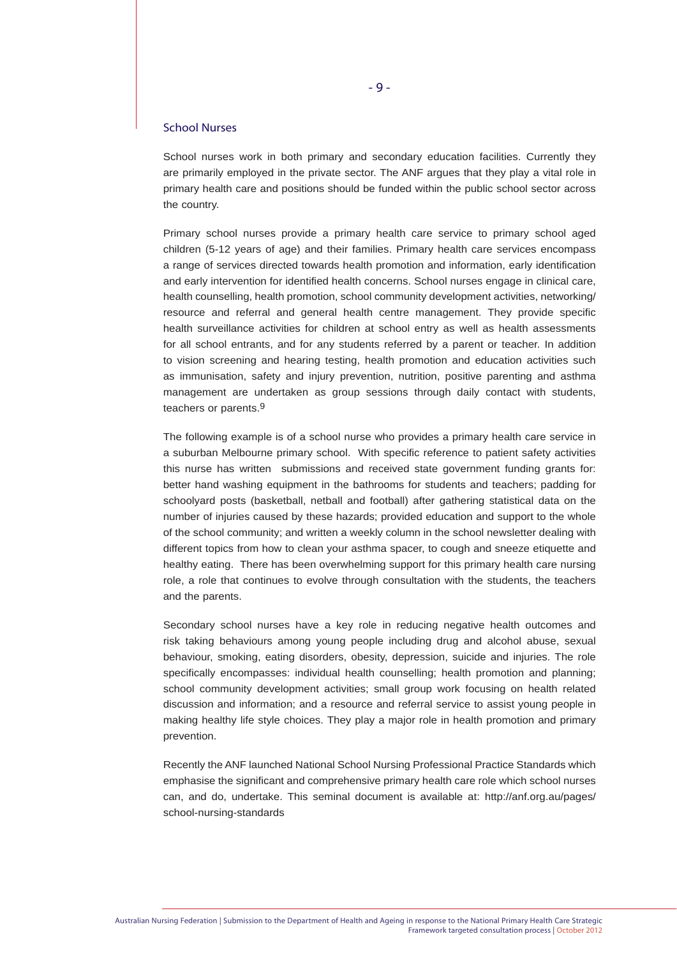#### School Nurses

School nurses work in both primary and secondary education facilities. Currently they are primarily employed in the private sector. The ANF argues that they play a vital role in primary health care and positions should be funded within the public school sector across the country.

Primary school nurses provide a primary health care service to primary school aged children (5-12 years of age) and their families. Primary health care services encompass a range of services directed towards health promotion and information, early identification and early intervention for identified health concerns. School nurses engage in clinical care, health counselling, health promotion, school community development activities, networking/ resource and referral and general health centre management. They provide specific health surveillance activities for children at school entry as well as health assessments for all school entrants, and for any students referred by a parent or teacher. In addition to vision screening and hearing testing, health promotion and education activities such as immunisation, safety and injury prevention, nutrition, positive parenting and asthma management are undertaken as group sessions through daily contact with students, teachers or parents.9

The following example is of a school nurse who provides a primary health care service in a suburban Melbourne primary school. With specific reference to patient safety activities this nurse has written submissions and received state government funding grants for: better hand washing equipment in the bathrooms for students and teachers; padding for schoolyard posts (basketball, netball and football) after gathering statistical data on the number of injuries caused by these hazards; provided education and support to the whole of the school community; and written a weekly column in the school newsletter dealing with different topics from how to clean your asthma spacer, to cough and sneeze etiquette and healthy eating. There has been overwhelming support for this primary health care nursing role, a role that continues to evolve through consultation with the students, the teachers and the parents.

Secondary school nurses have a key role in reducing negative health outcomes and risk taking behaviours among young people including drug and alcohol abuse, sexual behaviour, smoking, eating disorders, obesity, depression, suicide and injuries. The role specifically encompasses: individual health counselling; health promotion and planning; school community development activities; small group work focusing on health related discussion and information; and a resource and referral service to assist young people in making healthy life style choices. They play a major role in health promotion and primary prevention.

Recently the ANF launched National School Nursing Professional Practice Standards which emphasise the significant and comprehensive primary health care role which school nurses can, and do, undertake. This seminal document is available at: http://anf.org.au/pages/ school-nursing-standards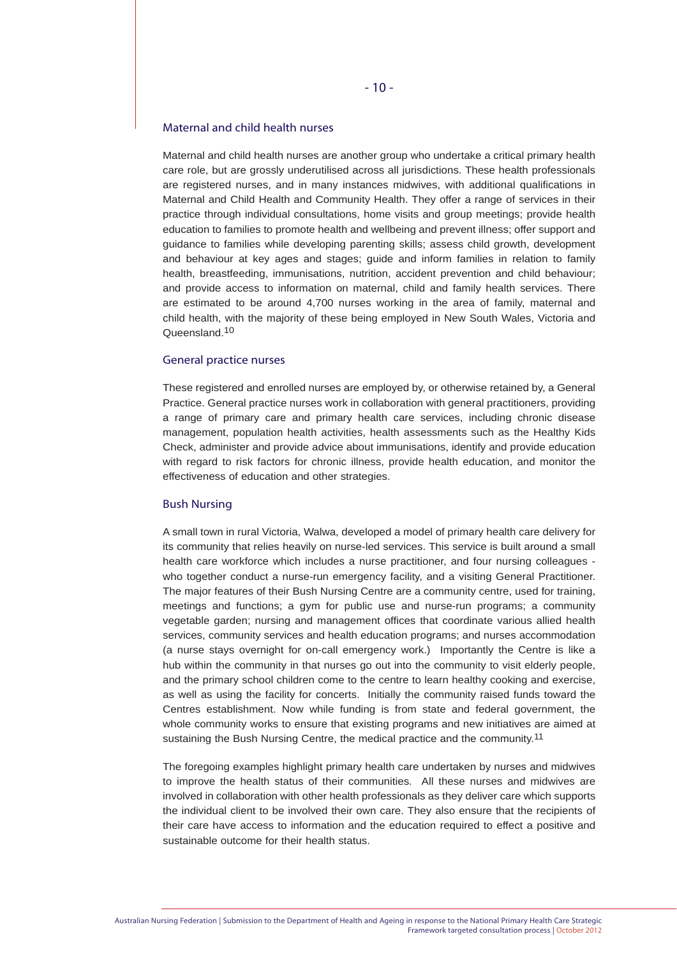#### Maternal and child health nurses

Maternal and child health nurses are another group who undertake a critical primary health care role, but are grossly underutilised across all jurisdictions. These health professionals are registered nurses, and in many instances midwives, with additional qualifications in Maternal and Child Health and Community Health. They offer a range of services in their practice through individual consultations, home visits and group meetings; provide health education to families to promote health and wellbeing and prevent illness; offer support and guidance to families while developing parenting skills; assess child growth, development and behaviour at key ages and stages; guide and inform families in relation to family health, breastfeeding, immunisations, nutrition, accident prevention and child behaviour; and provide access to information on maternal, child and family health services. There are estimated to be around 4,700 nurses working in the area of family, maternal and child health, with the majority of these being employed in New South Wales, Victoria and Queensland.10

#### General practice nurses

These registered and enrolled nurses are employed by, or otherwise retained by, a General Practice. General practice nurses work in collaboration with general practitioners, providing a range of primary care and primary health care services, including chronic disease management, population health activities, health assessments such as the Healthy Kids Check, administer and provide advice about immunisations, identify and provide education with regard to risk factors for chronic illness, provide health education, and monitor the effectiveness of education and other strategies.

# Bush Nursing

A small town in rural Victoria, Walwa, developed a model of primary health care delivery for its community that relies heavily on nurse-led services. This service is built around a small health care workforce which includes a nurse practitioner, and four nursing colleagues who together conduct a nurse-run emergency facility, and a visiting General Practitioner. The major features of their Bush Nursing Centre are a community centre, used for training, meetings and functions; a gym for public use and nurse-run programs; a community vegetable garden; nursing and management offices that coordinate various allied health services, community services and health education programs; and nurses accommodation (a nurse stays overnight for on-call emergency work.) Importantly the Centre is like a hub within the community in that nurses go out into the community to visit elderly people, and the primary school children come to the centre to learn healthy cooking and exercise, as well as using the facility for concerts. Initially the community raised funds toward the Centres establishment. Now while funding is from state and federal government, the whole community works to ensure that existing programs and new initiatives are aimed at sustaining the Bush Nursing Centre, the medical practice and the community.<sup>11</sup>

The foregoing examples highlight primary health care undertaken by nurses and midwives to improve the health status of their communities. All these nurses and midwives are involved in collaboration with other health professionals as they deliver care which supports the individual client to be involved their own care. They also ensure that the recipients of their care have access to information and the education required to effect a positive and sustainable outcome for their health status.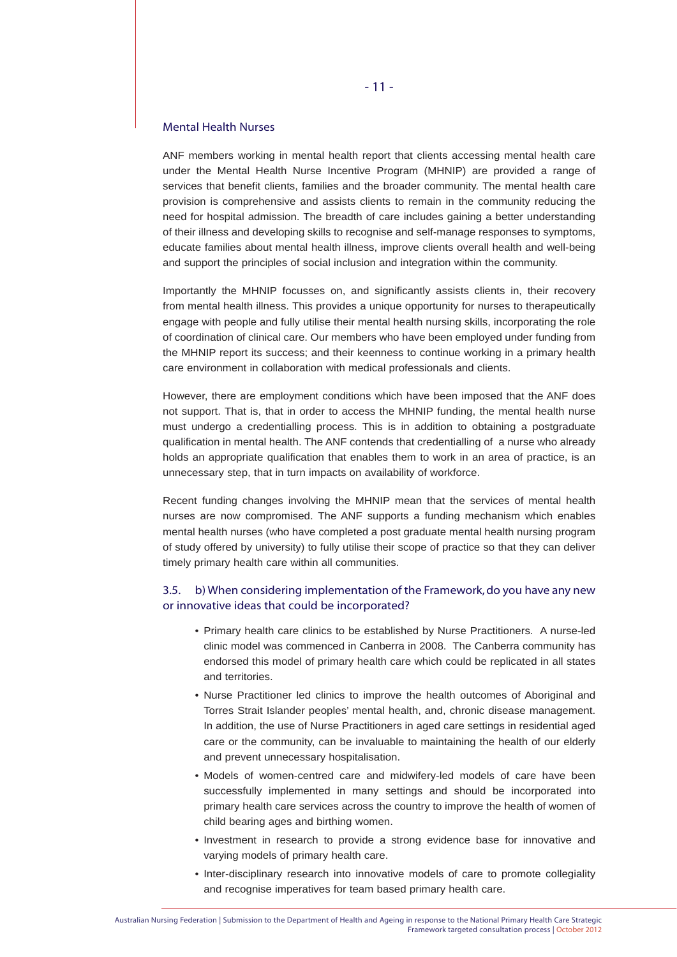#### Mental Health Nurses

ANF members working in mental health report that clients accessing mental health care under the Mental Health Nurse Incentive Program (MHNIP) are provided a range of services that benefit clients, families and the broader community. The mental health care provision is comprehensive and assists clients to remain in the community reducing the need for hospital admission. The breadth of care includes gaining a better understanding of their illness and developing skills to recognise and self-manage responses to symptoms, educate families about mental health illness, improve clients overall health and well-being and support the principles of social inclusion and integration within the community.

Importantly the MHNIP focusses on, and significantly assists clients in, their recovery from mental health illness. This provides a unique opportunity for nurses to therapeutically engage with people and fully utilise their mental health nursing skills, incorporating the role of coordination of clinical care. Our members who have been employed under funding from the MHNIP report its success; and their keenness to continue working in a primary health care environment in collaboration with medical professionals and clients.

However, there are employment conditions which have been imposed that the ANF does not support. That is, that in order to access the MHNIP funding, the mental health nurse must undergo a credentialling process. This is in addition to obtaining a postgraduate qualification in mental health. The ANF contends that credentialling of a nurse who already holds an appropriate qualification that enables them to work in an area of practice, is an unnecessary step, that in turn impacts on availability of workforce.

Recent funding changes involving the MHNIP mean that the services of mental health nurses are now compromised. The ANF supports a funding mechanism which enables mental health nurses (who have completed a post graduate mental health nursing program of study offered by university) to fully utilise their scope of practice so that they can deliver timely primary health care within all communities.

# 3.5. b) When considering implementation of the Framework, do you have any new or innovative ideas that could be incorporated?

- Primary health care clinics to be established by Nurse Practitioners. A nurse-led clinic model was commenced in Canberra in 2008. The Canberra community has endorsed this model of primary health care which could be replicated in all states and territories.
- Nurse Practitioner led clinics to improve the health outcomes of Aboriginal and Torres Strait Islander peoples' mental health, and, chronic disease management. In addition, the use of Nurse Practitioners in aged care settings in residential aged care or the community, can be invaluable to maintaining the health of our elderly and prevent unnecessary hospitalisation.
- Models of women-centred care and midwifery-led models of care have been successfully implemented in many settings and should be incorporated into primary health care services across the country to improve the health of women of child bearing ages and birthing women.
- Investment in research to provide a strong evidence base for innovative and varying models of primary health care.
- Inter-disciplinary research into innovative models of care to promote collegiality and recognise imperatives for team based primary health care.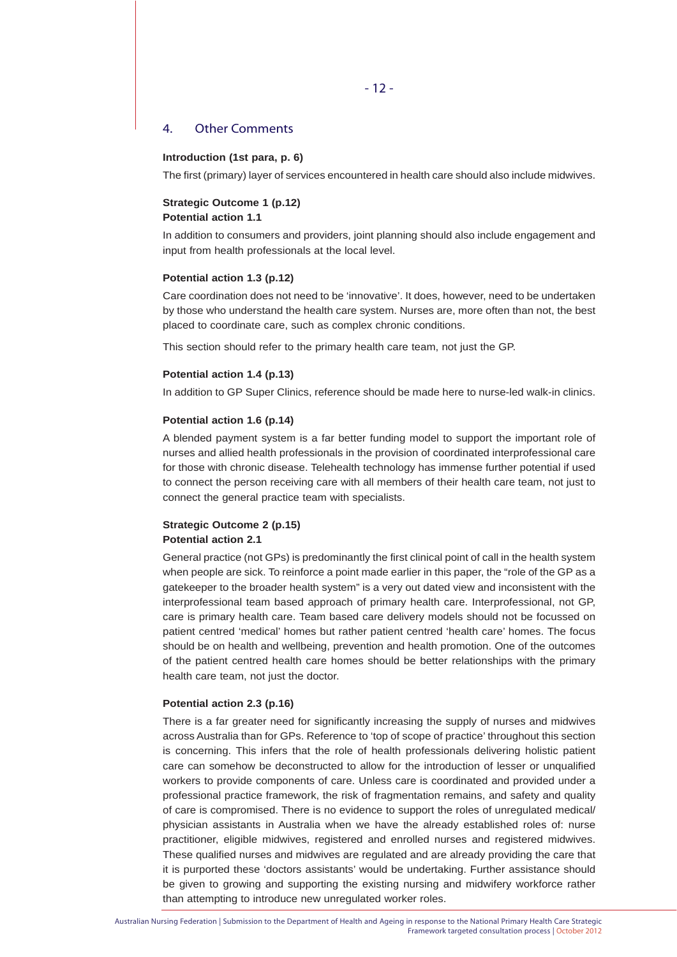# 4. Other Comments

# **Introduction (1st para, p. 6)**

The first (primary) layer of services encountered in health care should also include midwives.

#### **Strategic Outcome 1 (p.12) Potential action 1.1**

In addition to consumers and providers, joint planning should also include engagement and input from health professionals at the local level.

# **Potential action 1.3 (p.12)**

Care coordination does not need to be 'innovative'. It does, however, need to be undertaken by those who understand the health care system. Nurses are, more often than not, the best placed to coordinate care, such as complex chronic conditions.

This section should refer to the primary health care team, not just the GP.

#### **Potential action 1.4 (p.13)**

In addition to GP Super Clinics, reference should be made here to nurse-led walk-in clinics.

#### **Potential action 1.6 (p.14)**

A blended payment system is a far better funding model to support the important role of nurses and allied health professionals in the provision of coordinated interprofessional care for those with chronic disease. Telehealth technology has immense further potential if used to connect the person receiving care with all members of their health care team, not just to connect the general practice team with specialists.

## **Strategic Outcome 2 (p.15) Potential action 2.1**

General practice (not GPs) is predominantly the first clinical point of call in the health system when people are sick. To reinforce a point made earlier in this paper, the "role of the GP as a gatekeeper to the broader health system" is a very out dated view and inconsistent with the interprofessional team based approach of primary health care. Interprofessional, not GP, care is primary health care. Team based care delivery models should not be focussed on patient centred 'medical' homes but rather patient centred 'health care' homes. The focus should be on health and wellbeing, prevention and health promotion. One of the outcomes of the patient centred health care homes should be better relationships with the primary health care team, not just the doctor.

# **Potential action 2.3 (p.16)**

There is a far greater need for significantly increasing the supply of nurses and midwives across Australia than for GPs. Reference to 'top of scope of practice' throughout this section is concerning. This infers that the role of health professionals delivering holistic patient care can somehow be deconstructed to allow for the introduction of lesser or unqualified workers to provide components of care. Unless care is coordinated and provided under a professional practice framework, the risk of fragmentation remains, and safety and quality of care is compromised. There is no evidence to support the roles of unregulated medical/ physician assistants in Australia when we have the already established roles of: nurse practitioner, eligible midwives, registered and enrolled nurses and registered midwives. These qualified nurses and midwives are regulated and are already providing the care that it is purported these 'doctors assistants' would be undertaking. Further assistance should be given to growing and supporting the existing nursing and midwifery workforce rather than attempting to introduce new unregulated worker roles.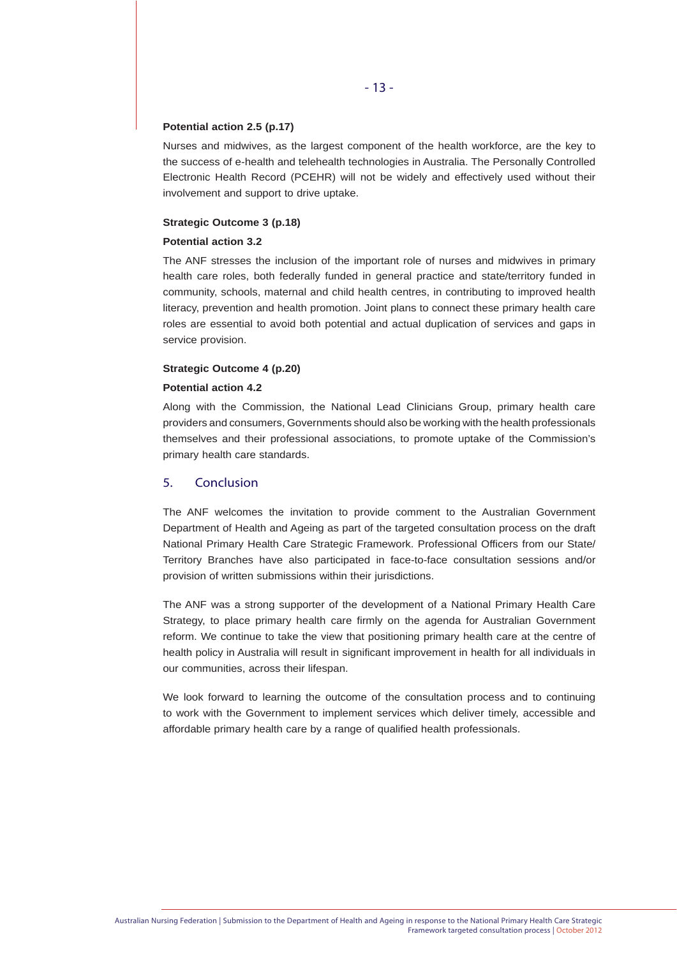#### **Potential action 2.5 (p.17)**

Nurses and midwives, as the largest component of the health workforce, are the key to the success of e-health and telehealth technologies in Australia. The Personally Controlled Electronic Health Record (PCEHR) will not be widely and effectively used without their involvement and support to drive uptake.

#### **Strategic Outcome 3 (p.18)**

# **Potential action 3.2**

The ANF stresses the inclusion of the important role of nurses and midwives in primary health care roles, both federally funded in general practice and state/territory funded in community, schools, maternal and child health centres, in contributing to improved health literacy, prevention and health promotion. Joint plans to connect these primary health care roles are essential to avoid both potential and actual duplication of services and gaps in service provision.

#### **Strategic Outcome 4 (p.20)**

#### **Potential action 4.2**

Along with the Commission, the National Lead Clinicians Group, primary health care providers and consumers, Governments should also be working with the health professionals themselves and their professional associations, to promote uptake of the Commission's primary health care standards.

# 5. Conclusion

The ANF welcomes the invitation to provide comment to the Australian Government Department of Health and Ageing as part of the targeted consultation process on the draft National Primary Health Care Strategic Framework. Professional Officers from our State/ Territory Branches have also participated in face-to-face consultation sessions and/or provision of written submissions within their jurisdictions.

The ANF was a strong supporter of the development of a National Primary Health Care Strategy, to place primary health care firmly on the agenda for Australian Government reform. We continue to take the view that positioning primary health care at the centre of health policy in Australia will result in significant improvement in health for all individuals in our communities, across their lifespan.

We look forward to learning the outcome of the consultation process and to continuing to work with the Government to implement services which deliver timely, accessible and affordable primary health care by a range of qualified health professionals.